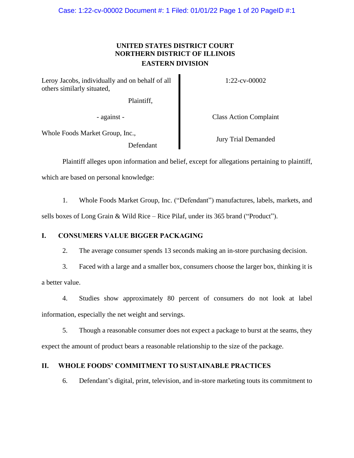# **UNITED STATES DISTRICT COURT NORTHERN DISTRICT OF ILLINOIS EASTERN DIVISION**

Leroy Jacobs, individually and on behalf of all others similarly situated,

Plaintiff,

1:22-cv-00002

- against - Class Action Complaint

Whole Foods Market Group, Inc.,

Defendant

Jury Trial Demanded

Plaintiff alleges upon information and belief, except for allegations pertaining to plaintiff, which are based on personal knowledge:

1. Whole Foods Market Group, Inc. ("Defendant") manufactures, labels, markets, and sells boxes of Long Grain & Wild Rice – Rice Pilaf, under its 365 brand ("Product").

# **I. CONSUMERS VALUE BIGGER PACKAGING**

2. The average consumer spends 13 seconds making an in-store purchasing decision.

3. Faced with a large and a smaller box, consumers choose the larger box, thinking it is a better value.

4. Studies show approximately 80 percent of consumers do not look at label information, especially the net weight and servings.

5. Though a reasonable consumer does not expect a package to burst at the seams, they expect the amount of product bears a reasonable relationship to the size of the package.

# **II. WHOLE FOODS' COMMITMENT TO SUSTAINABLE PRACTICES**

6. Defendant's digital, print, television, and in-store marketing touts its commitment to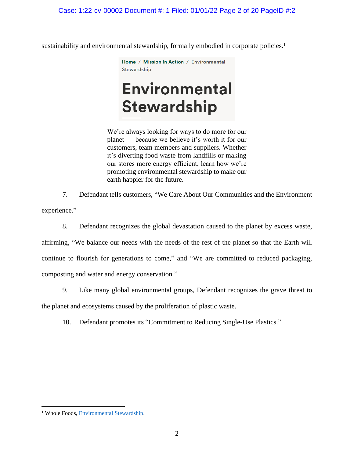sustainability and environmental stewardship, formally embodied in corporate policies.<sup>1</sup>

Home / Mission In Action / Environmental Stewardship

# **Environmental Stewardship**

We're always looking for ways to do more for our planet — because we believe it's worth it for our customers, team members and suppliers. Whether it's diverting food waste from landfills or making our stores more energy efficient, learn how we're promoting environmental stewardship to make our earth happier for the future.

7. Defendant tells customers, "We Care About Our Communities and the Environment

experience."

8. Defendant recognizes the global devastation caused to the planet by excess waste,

affirming, "We balance our needs with the needs of the rest of the planet so that the Earth will continue to flourish for generations to come," and "We are committed to reduced packaging, composting and water and energy conservation."

9. Like many global environmental groups, Defendant recognizes the grave threat to

the planet and ecosystems caused by the proliferation of plastic waste.

10. Defendant promotes its "Commitment to Reducing Single-Use Plastics."

<sup>&</sup>lt;sup>1</sup> Whole Foods, [Environmental Stewardship.](https://www.wholefoodsmarket.com/mission-in-action/environmental-stewardship)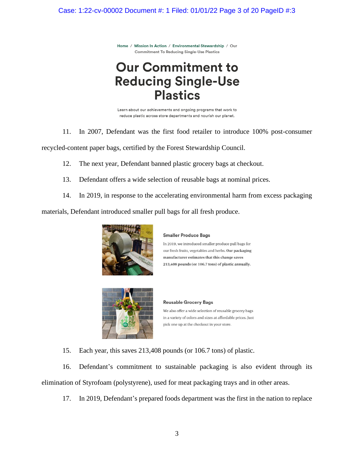Home / Mission In Action / Environmental Stewardship / Our **Commitment To Reducing Single-Use Plastics** 

# **Our Commitment to Reducing Single-Use Plastics**

Learn about our achievements and ongoing programs that work to reduce plastic across store departments and nourish our planet.

11. In 2007, Defendant was the first food retailer to introduce 100% post-consumer

recycled-content paper bags, certified by the Forest Stewardship Council.

12. The next year, Defendant banned plastic grocery bags at checkout.

- 13. Defendant offers a wide selection of reusable bags at nominal prices.
- 14. In 2019, in response to the accelerating environmental harm from excess packaging

materials, Defendant introduced smaller pull bags for all fresh produce.



#### **Smaller Produce Bags**

In 2019, we introduced smaller produce pull bags for our fresh fruits, vegetables and herbs. Our packaging manufacturer estimates that this change saves 213,408 pounds (or 106.7 tons) of plastic annually.



#### **Reusable Grocery Bags**

We also offer a wide selection of reusable grocery bags in a variety of colors and sizes at affordable prices. Just pick one up at the checkout in your store.

15. Each year, this saves 213,408 pounds (or 106.7 tons) of plastic.

16. Defendant's commitment to sustainable packaging is also evident through its elimination of Styrofoam (polystyrene), used for meat packaging trays and in other areas.

17. In 2019, Defendant's prepared foods department was the first in the nation to replace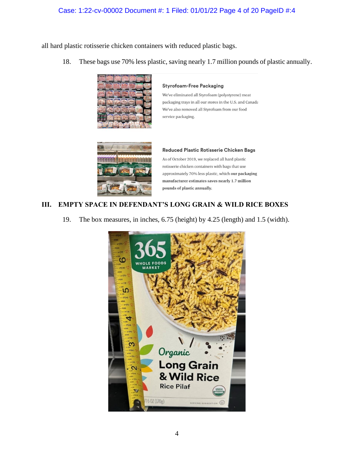# Case: 1:22-cv-00002 Document #: 1 Filed: 01/01/22 Page 4 of 20 PageID #:4

all hard plastic rotisserie chicken containers with reduced plastic bags.

18. These bags use 70% less plastic, saving nearly 1.7 million pounds of plastic annually.



#### **Styrofoam-Free Packaging**

We've eliminated all Styrofoam (polystyrene) meat packaging trays in all our stores in the U.S. and Canada We've also removed all Styrofoam from our food service packaging.



#### Reduced Plastic Rotisserie Chicken Bags

As of October 2019, we replaced all hard plastic rotisserie chicken containers with bags that use approximately 70% less plastic, which our packaging manufacturer estimates saves nearly 1.7 million pounds of plastic annually.

# **III. EMPTY SPACE IN DEFENDANT'S LONG GRAIN & WILD RICE BOXES**

19. The box measures, in inches, 6.75 (height) by 4.25 (length) and 1.5 (width).

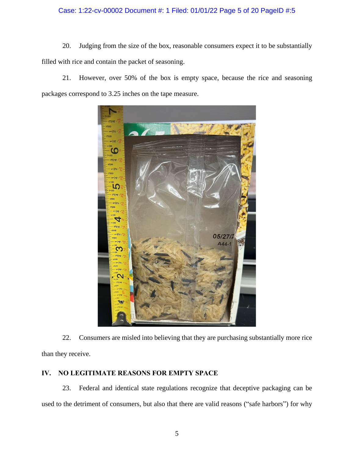# Case: 1:22-cv-00002 Document #: 1 Filed: 01/01/22 Page 5 of 20 PageID #:5

20. Judging from the size of the box, reasonable consumers expect it to be substantially filled with rice and contain the packet of seasoning.

21. However, over 50% of the box is empty space, because the rice and seasoning packages correspond to 3.25 inches on the tape measure.



22. Consumers are misled into believing that they are purchasing substantially more rice than they receive.

# **IV. NO LEGITIMATE REASONS FOR EMPTY SPACE**

23. Federal and identical state regulations recognize that deceptive packaging can be used to the detriment of consumers, but also that there are valid reasons ("safe harbors") for why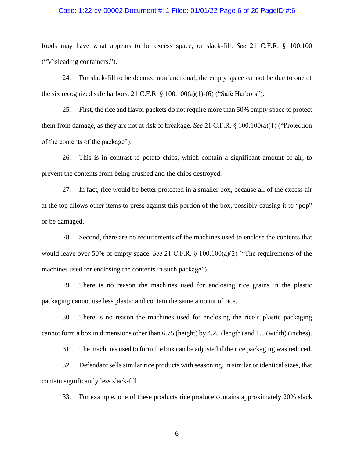#### Case: 1:22-cv-00002 Document #: 1 Filed: 01/01/22 Page 6 of 20 PageID #:6

foods may have what appears to be excess space, or slack-fill. *See* 21 C.F.R. § 100.100 ("Misleading containers.").

24. For slack-fill to be deemed nonfunctional, the empty space cannot be due to one of the six recognized safe harbors. 21 C.F.R.  $\S$  100.100(a)(1)-(6) ("Safe Harbors").

25. First, the rice and flavor packets do not require more than 50% empty space to protect them from damage, as they are not at risk of breakage. *See* 21 C.F.R. § 100.100(a)(1) ("Protection of the contents of the package").

26. This is in contrast to potato chips, which contain a significant amount of air, to prevent the contents from being crushed and the chips destroyed.

27. In fact, rice would be better protected in a smaller box, because all of the excess air at the top allows other items to press against this portion of the box, possibly causing it to "pop" or be damaged.

28. Second, there are no requirements of the machines used to enclose the contents that would leave over 50% of empty space. *See* 21 C.F.R. § 100.100(a)(2) ("The requirements of the machines used for enclosing the contents in such package").

29. There is no reason the machines used for enclosing rice grains in the plastic packaging cannot use less plastic and contain the same amount of rice.

30. There is no reason the machines used for enclosing the rice's plastic packaging cannot form a box in dimensions other than 6.75 (height) by 4.25 (length) and 1.5 (width) (inches).

31. The machines used to form the box can be adjusted if the rice packaging was reduced.

32. Defendant sells similar rice products with seasoning, in similar or identical sizes, that contain significantly less slack-fill.

33. For example, one of these products rice produce contains approximately 20% slack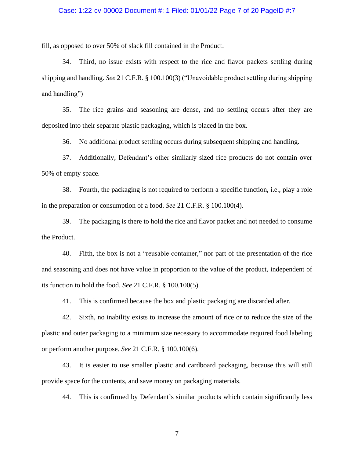#### Case: 1:22-cv-00002 Document #: 1 Filed: 01/01/22 Page 7 of 20 PageID #:7

fill, as opposed to over 50% of slack fill contained in the Product.

34. Third, no issue exists with respect to the rice and flavor packets settling during shipping and handling. *See* 21 C.F.R. § 100.100(3) ("Unavoidable product settling during shipping and handling")

35. The rice grains and seasoning are dense, and no settling occurs after they are deposited into their separate plastic packaging, which is placed in the box.

36. No additional product settling occurs during subsequent shipping and handling.

37. Additionally, Defendant's other similarly sized rice products do not contain over 50% of empty space.

38. Fourth, the packaging is not required to perform a specific function, i.e., play a role in the preparation or consumption of a food. *See* 21 C.F.R. § 100.100(4).

39. The packaging is there to hold the rice and flavor packet and not needed to consume the Product.

40. Fifth, the box is not a "reusable container," nor part of the presentation of the rice and seasoning and does not have value in proportion to the value of the product, independent of its function to hold the food. *See* 21 C.F.R. § 100.100(5).

41. This is confirmed because the box and plastic packaging are discarded after.

42. Sixth, no inability exists to increase the amount of rice or to reduce the size of the plastic and outer packaging to a minimum size necessary to accommodate required food labeling or perform another purpose. *See* 21 C.F.R. § 100.100(6).

43. It is easier to use smaller plastic and cardboard packaging, because this will still provide space for the contents, and save money on packaging materials.

44. This is confirmed by Defendant's similar products which contain significantly less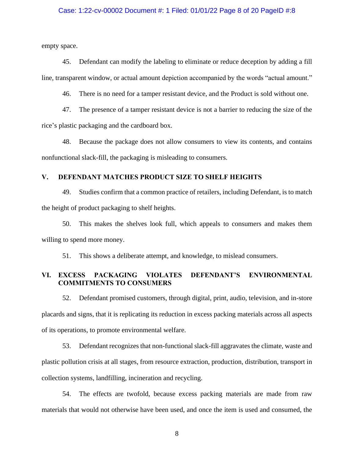#### Case: 1:22-cv-00002 Document #: 1 Filed: 01/01/22 Page 8 of 20 PageID #:8

empty space.

45. Defendant can modify the labeling to eliminate or reduce deception by adding a fill line, transparent window, or actual amount depiction accompanied by the words "actual amount."

46. There is no need for a tamper resistant device, and the Product is sold without one.

47. The presence of a tamper resistant device is not a barrier to reducing the size of the rice's plastic packaging and the cardboard box.

48. Because the package does not allow consumers to view its contents, and contains nonfunctional slack-fill, the packaging is misleading to consumers.

#### **V. DEFENDANT MATCHES PRODUCT SIZE TO SHELF HEIGHTS**

49. Studies confirm that a common practice of retailers, including Defendant, is to match the height of product packaging to shelf heights.

50. This makes the shelves look full, which appeals to consumers and makes them willing to spend more money.

51. This shows a deliberate attempt, and knowledge, to mislead consumers.

# **VI. EXCESS PACKAGING VIOLATES DEFENDANT'S ENVIRONMENTAL COMMITMENTS TO CONSUMERS**

52. Defendant promised customers, through digital, print, audio, television, and in-store placards and signs, that it is replicating its reduction in excess packing materials across all aspects of its operations, to promote environmental welfare.

53. Defendant recognizes that non-functional slack-fill aggravates the climate, waste and plastic pollution crisis at all stages, from resource extraction, production, distribution, transport in collection systems, landfilling, incineration and recycling.

54. The effects are twofold, because excess packing materials are made from raw materials that would not otherwise have been used, and once the item is used and consumed, the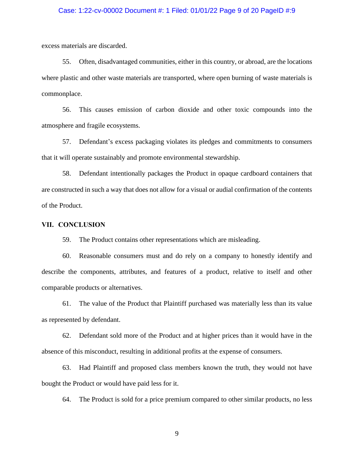#### Case: 1:22-cv-00002 Document #: 1 Filed: 01/01/22 Page 9 of 20 PageID #:9

excess materials are discarded.

55. Often, disadvantaged communities, either in this country, or abroad, are the locations where plastic and other waste materials are transported, where open burning of waste materials is commonplace.

56. This causes emission of carbon dioxide and other toxic compounds into the atmosphere and fragile ecosystems.

57. Defendant's excess packaging violates its pledges and commitments to consumers that it will operate sustainably and promote environmental stewardship.

58. Defendant intentionally packages the Product in opaque cardboard containers that are constructed in such a way that does not allow for a visual or audial confirmation of the contents of the Product.

#### **VII. CONCLUSION**

59. The Product contains other representations which are misleading.

60. Reasonable consumers must and do rely on a company to honestly identify and describe the components, attributes, and features of a product, relative to itself and other comparable products or alternatives.

61. The value of the Product that Plaintiff purchased was materially less than its value as represented by defendant.

62. Defendant sold more of the Product and at higher prices than it would have in the absence of this misconduct, resulting in additional profits at the expense of consumers.

63. Had Plaintiff and proposed class members known the truth, they would not have bought the Product or would have paid less for it.

64. The Product is sold for a price premium compared to other similar products, no less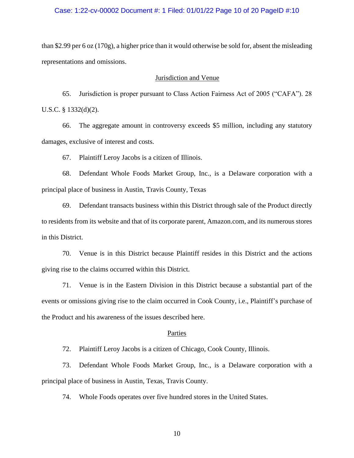#### Case: 1:22-cv-00002 Document #: 1 Filed: 01/01/22 Page 10 of 20 PageID #:10

than \$2.99 per 6 oz (170g), a higher price than it would otherwise be sold for, absent the misleading representations and omissions.

#### Jurisdiction and Venue

65. Jurisdiction is proper pursuant to Class Action Fairness Act of 2005 ("CAFA"). 28 U.S.C. § 1332(d)(2).

66. The aggregate amount in controversy exceeds \$5 million, including any statutory damages, exclusive of interest and costs.

67. Plaintiff Leroy Jacobs is a citizen of Illinois.

68. Defendant Whole Foods Market Group, Inc., is a Delaware corporation with a principal place of business in Austin, Travis County, Texas

69. Defendant transacts business within this District through sale of the Product directly to residents from its website and that of its corporate parent, Amazon.com, and its numerous stores in this District.

70. Venue is in this District because Plaintiff resides in this District and the actions giving rise to the claims occurred within this District.

71. Venue is in the Eastern Division in this District because a substantial part of the events or omissions giving rise to the claim occurred in Cook County, i.e., Plaintiff's purchase of the Product and his awareness of the issues described here.

#### Parties

72. Plaintiff Leroy Jacobs is a citizen of Chicago, Cook County, Illinois.

73. Defendant Whole Foods Market Group, Inc., is a Delaware corporation with a principal place of business in Austin, Texas, Travis County.

74. Whole Foods operates over five hundred stores in the United States.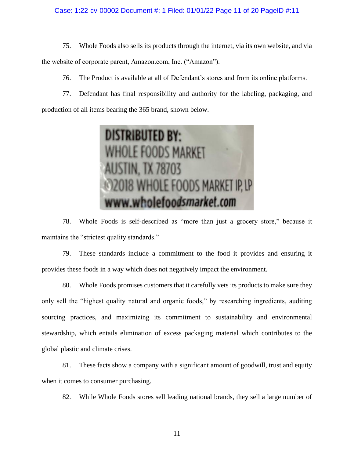#### Case: 1:22-cv-00002 Document #: 1 Filed: 01/01/22 Page 11 of 20 PageID #:11

75. Whole Foods also sells its products through the internet, via its own website, and via the website of corporate parent, Amazon.com, Inc. ("Amazon").

76. The Product is available at all of Defendant's stores and from its online platforms.

77. Defendant has final responsibility and authority for the labeling, packaging, and production of all items bearing the 365 brand, shown below.



78. Whole Foods is self-described as "more than just a grocery store," because it maintains the "strictest quality standards."

79. These standards include a commitment to the food it provides and ensuring it provides these foods in a way which does not negatively impact the environment.

80. Whole Foods promises customers that it carefully vets its products to make sure they only sell the "highest quality natural and organic foods," by researching ingredients, auditing sourcing practices, and maximizing its commitment to sustainability and environmental stewardship, which entails elimination of excess packaging material which contributes to the global plastic and climate crises.

81. These facts show a company with a significant amount of goodwill, trust and equity when it comes to consumer purchasing.

82. While Whole Foods stores sell leading national brands, they sell a large number of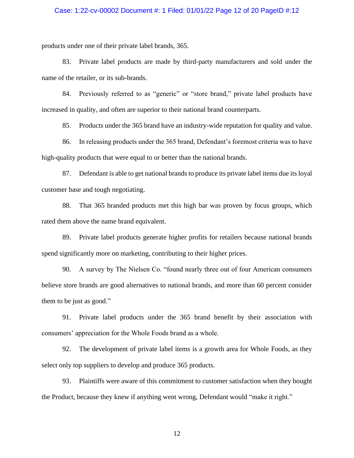#### Case: 1:22-cv-00002 Document #: 1 Filed: 01/01/22 Page 12 of 20 PageID #:12

products under one of their private label brands, 365.

83. Private label products are made by third-party manufacturers and sold under the name of the retailer, or its sub-brands.

84. Previously referred to as "generic" or "store brand," private label products have increased in quality, and often are superior to their national brand counterparts.

85. Products under the 365 brand have an industry-wide reputation for quality and value.

86. In releasing products under the 365 brand, Defendant's foremost criteria was to have high-quality products that were equal to or better than the national brands.

87. Defendant is able to get national brands to produce its private label items due its loyal customer base and tough negotiating.

88. That 365 branded products met this high bar was proven by focus groups, which rated them above the name brand equivalent.

89. Private label products generate higher profits for retailers because national brands spend significantly more on marketing, contributing to their higher prices.

90. A survey by The Nielsen Co. "found nearly three out of four American consumers believe store brands are good alternatives to national brands, and more than 60 percent consider them to be just as good."

91. Private label products under the 365 brand benefit by their association with consumers' appreciation for the Whole Foods brand as a whole.

92. The development of private label items is a growth area for Whole Foods, as they select only top suppliers to develop and produce 365 products.

93. Plaintiffs were aware of this commitment to customer satisfaction when they bought the Product, because they knew if anything went wrong, Defendant would "make it right."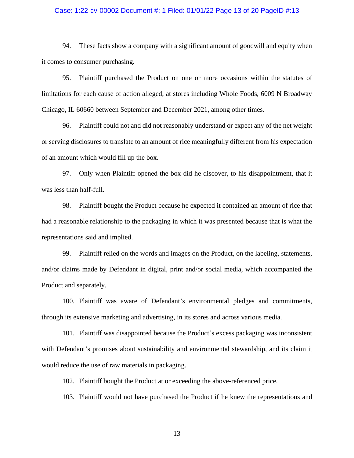#### Case: 1:22-cv-00002 Document #: 1 Filed: 01/01/22 Page 13 of 20 PageID #:13

94. These facts show a company with a significant amount of goodwill and equity when it comes to consumer purchasing.

95. Plaintiff purchased the Product on one or more occasions within the statutes of limitations for each cause of action alleged, at stores including Whole Foods, 6009 N Broadway Chicago, IL 60660 between September and December 2021, among other times.

96. Plaintiff could not and did not reasonably understand or expect any of the net weight or serving disclosures to translate to an amount of rice meaningfully different from his expectation of an amount which would fill up the box.

97. Only when Plaintiff opened the box did he discover, to his disappointment, that it was less than half-full.

98. Plaintiff bought the Product because he expected it contained an amount of rice that had a reasonable relationship to the packaging in which it was presented because that is what the representations said and implied.

99. Plaintiff relied on the words and images on the Product, on the labeling, statements, and/or claims made by Defendant in digital, print and/or social media, which accompanied the Product and separately.

100. Plaintiff was aware of Defendant's environmental pledges and commitments, through its extensive marketing and advertising, in its stores and across various media.

101. Plaintiff was disappointed because the Product's excess packaging was inconsistent with Defendant's promises about sustainability and environmental stewardship, and its claim it would reduce the use of raw materials in packaging.

102. Plaintiff bought the Product at or exceeding the above-referenced price.

103. Plaintiff would not have purchased the Product if he knew the representations and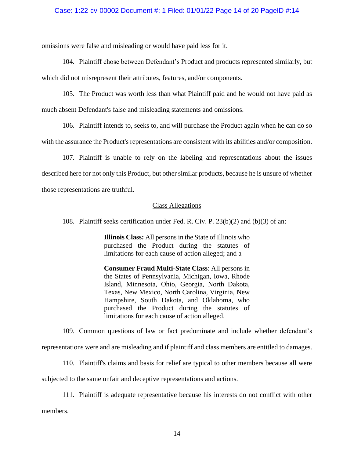#### Case: 1:22-cv-00002 Document #: 1 Filed: 01/01/22 Page 14 of 20 PageID #:14

omissions were false and misleading or would have paid less for it.

104. Plaintiff chose between Defendant's Product and products represented similarly, but which did not misrepresent their attributes, features, and/or components.

105. The Product was worth less than what Plaintiff paid and he would not have paid as much absent Defendant's false and misleading statements and omissions.

106. Plaintiff intends to, seeks to, and will purchase the Product again when he can do so with the assurance the Product's representations are consistent with its abilities and/or composition.

107. Plaintiff is unable to rely on the labeling and representations about the issues described here for not only this Product, but other similar products, because he is unsure of whether those representations are truthful.

#### Class Allegations

108. Plaintiff seeks certification under Fed. R. Civ. P. 23(b)(2) and (b)(3) of an:

**Illinois Class:** All persons in the State of Illinois who purchased the Product during the statutes of limitations for each cause of action alleged; and a

**Consumer Fraud Multi-State Class**: All persons in the States of Pennsylvania, Michigan, Iowa, Rhode Island, Minnesota, Ohio, Georgia, North Dakota, Texas, New Mexico, North Carolina, Virginia, New Hampshire, South Dakota, and Oklahoma, who purchased the Product during the statutes of limitations for each cause of action alleged.

109. Common questions of law or fact predominate and include whether defendant's representations were and are misleading and if plaintiff and class members are entitled to damages.

110. Plaintiff's claims and basis for relief are typical to other members because all were subjected to the same unfair and deceptive representations and actions.

111. Plaintiff is adequate representative because his interests do not conflict with other

members.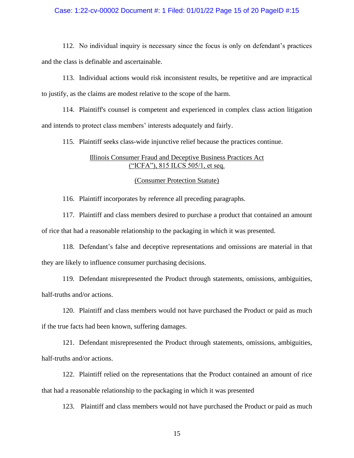#### Case: 1:22-cv-00002 Document #: 1 Filed: 01/01/22 Page 15 of 20 PageID #:15

112. No individual inquiry is necessary since the focus is only on defendant's practices and the class is definable and ascertainable.

113. Individual actions would risk inconsistent results, be repetitive and are impractical to justify, as the claims are modest relative to the scope of the harm.

114. Plaintiff's counsel is competent and experienced in complex class action litigation and intends to protect class members' interests adequately and fairly.

115. Plaintiff seeks class-wide injunctive relief because the practices continue.

# Illinois Consumer Fraud and Deceptive Business Practices Act ("ICFA"), 815 ILCS 505/1, et seq.

#### (Consumer Protection Statute)

116. Plaintiff incorporates by reference all preceding paragraphs.

117. Plaintiff and class members desired to purchase a product that contained an amount of rice that had a reasonable relationship to the packaging in which it was presented.

118. Defendant's false and deceptive representations and omissions are material in that they are likely to influence consumer purchasing decisions.

119. Defendant misrepresented the Product through statements, omissions, ambiguities, half-truths and/or actions.

120. Plaintiff and class members would not have purchased the Product or paid as much if the true facts had been known, suffering damages.

121. Defendant misrepresented the Product through statements, omissions, ambiguities, half-truths and/or actions.

122. Plaintiff relied on the representations that the Product contained an amount of rice that had a reasonable relationship to the packaging in which it was presented

123. Plaintiff and class members would not have purchased the Product or paid as much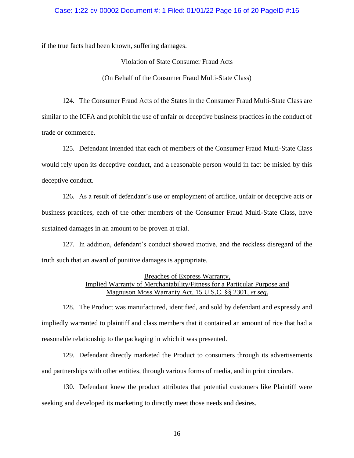#### Case: 1:22-cv-00002 Document #: 1 Filed: 01/01/22 Page 16 of 20 PageID #:16

if the true facts had been known, suffering damages.

#### Violation of State Consumer Fraud Acts

#### (On Behalf of the Consumer Fraud Multi-State Class)

124. The Consumer Fraud Acts of the States in the Consumer Fraud Multi-State Class are similar to the ICFA and prohibit the use of unfair or deceptive business practices in the conduct of trade or commerce.

125. Defendant intended that each of members of the Consumer Fraud Multi-State Class would rely upon its deceptive conduct, and a reasonable person would in fact be misled by this deceptive conduct.

126. As a result of defendant's use or employment of artifice, unfair or deceptive acts or business practices, each of the other members of the Consumer Fraud Multi-State Class, have sustained damages in an amount to be proven at trial.

127. In addition, defendant's conduct showed motive, and the reckless disregard of the truth such that an award of punitive damages is appropriate.

# Breaches of Express Warranty, Implied Warranty of Merchantability/Fitness for a Particular Purpose and Magnuson Moss Warranty Act, 15 U.S.C. §§ 2301, *et seq*.

128. The Product was manufactured, identified, and sold by defendant and expressly and impliedly warranted to plaintiff and class members that it contained an amount of rice that had a reasonable relationship to the packaging in which it was presented.

129. Defendant directly marketed the Product to consumers through its advertisements and partnerships with other entities, through various forms of media, and in print circulars.

130. Defendant knew the product attributes that potential customers like Plaintiff were seeking and developed its marketing to directly meet those needs and desires.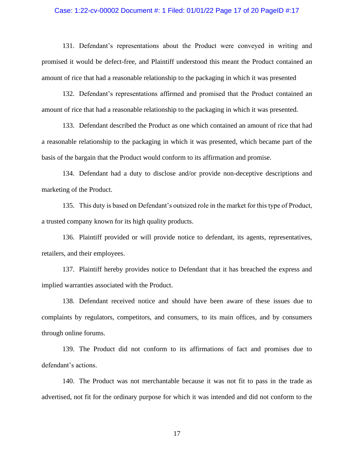#### Case: 1:22-cv-00002 Document #: 1 Filed: 01/01/22 Page 17 of 20 PageID #:17

131. Defendant's representations about the Product were conveyed in writing and promised it would be defect-free, and Plaintiff understood this meant the Product contained an amount of rice that had a reasonable relationship to the packaging in which it was presented

132. Defendant's representations affirmed and promised that the Product contained an amount of rice that had a reasonable relationship to the packaging in which it was presented.

133. Defendant described the Product as one which contained an amount of rice that had a reasonable relationship to the packaging in which it was presented, which became part of the basis of the bargain that the Product would conform to its affirmation and promise.

134. Defendant had a duty to disclose and/or provide non-deceptive descriptions and marketing of the Product.

135. This duty is based on Defendant's outsized role in the market for this type of Product, a trusted company known for its high quality products.

136. Plaintiff provided or will provide notice to defendant, its agents, representatives, retailers, and their employees.

137. Plaintiff hereby provides notice to Defendant that it has breached the express and implied warranties associated with the Product.

138. Defendant received notice and should have been aware of these issues due to complaints by regulators, competitors, and consumers, to its main offices, and by consumers through online forums.

139. The Product did not conform to its affirmations of fact and promises due to defendant's actions.

140. The Product was not merchantable because it was not fit to pass in the trade as advertised, not fit for the ordinary purpose for which it was intended and did not conform to the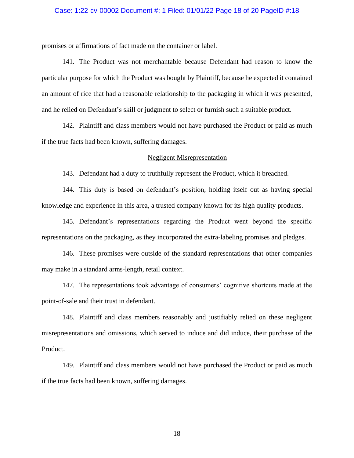#### Case: 1:22-cv-00002 Document #: 1 Filed: 01/01/22 Page 18 of 20 PageID #:18

promises or affirmations of fact made on the container or label.

141. The Product was not merchantable because Defendant had reason to know the particular purpose for which the Product was bought by Plaintiff, because he expected it contained an amount of rice that had a reasonable relationship to the packaging in which it was presented, and he relied on Defendant's skill or judgment to select or furnish such a suitable product.

142. Plaintiff and class members would not have purchased the Product or paid as much if the true facts had been known, suffering damages.

#### Negligent Misrepresentation

143. Defendant had a duty to truthfully represent the Product, which it breached.

144. This duty is based on defendant's position, holding itself out as having special knowledge and experience in this area, a trusted company known for its high quality products.

145. Defendant's representations regarding the Product went beyond the specific representations on the packaging, as they incorporated the extra-labeling promises and pledges.

146. These promises were outside of the standard representations that other companies may make in a standard arms-length, retail context.

147. The representations took advantage of consumers' cognitive shortcuts made at the point-of-sale and their trust in defendant.

148. Plaintiff and class members reasonably and justifiably relied on these negligent misrepresentations and omissions, which served to induce and did induce, their purchase of the Product.

149. Plaintiff and class members would not have purchased the Product or paid as much if the true facts had been known, suffering damages.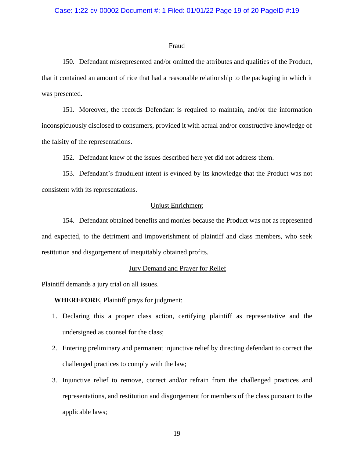#### Fraud

150. Defendant misrepresented and/or omitted the attributes and qualities of the Product, that it contained an amount of rice that had a reasonable relationship to the packaging in which it was presented.

151. Moreover, the records Defendant is required to maintain, and/or the information inconspicuously disclosed to consumers, provided it with actual and/or constructive knowledge of the falsity of the representations.

152. Defendant knew of the issues described here yet did not address them.

153. Defendant's fraudulent intent is evinced by its knowledge that the Product was not consistent with its representations.

# Unjust Enrichment

154. Defendant obtained benefits and monies because the Product was not as represented and expected, to the detriment and impoverishment of plaintiff and class members, who seek restitution and disgorgement of inequitably obtained profits.

#### Jury Demand and Prayer for Relief

Plaintiff demands a jury trial on all issues.

**WHEREFORE**, Plaintiff prays for judgment:

- 1. Declaring this a proper class action, certifying plaintiff as representative and the undersigned as counsel for the class;
- 2. Entering preliminary and permanent injunctive relief by directing defendant to correct the challenged practices to comply with the law;
- 3. Injunctive relief to remove, correct and/or refrain from the challenged practices and representations, and restitution and disgorgement for members of the class pursuant to the applicable laws;